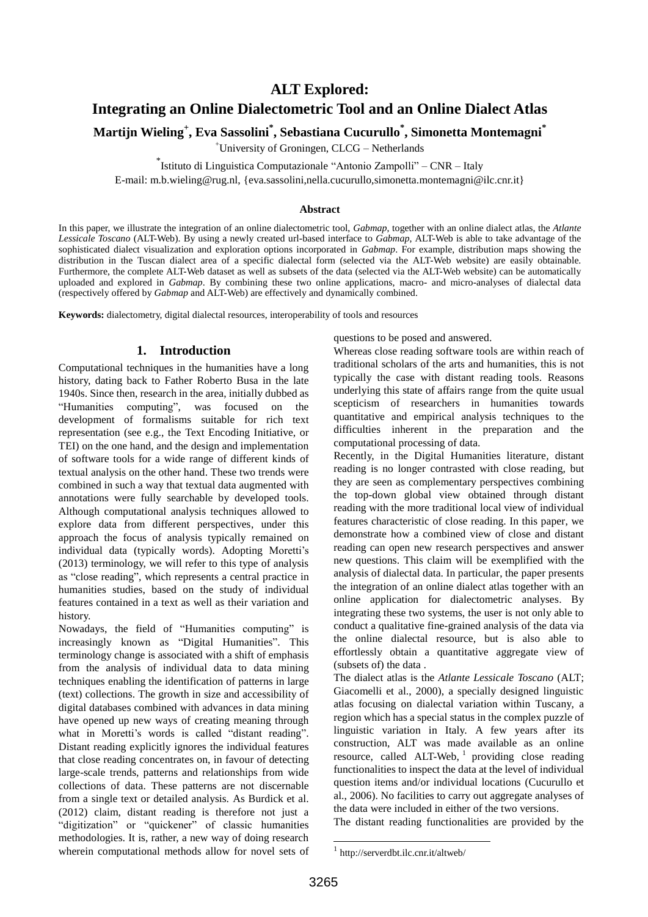## **ALT Explored:**

# **Integrating an Online Dialectometric Tool and an Online Dialect Atlas**

**Martijn Wieling<sup>+</sup> , Eva Sassolini\* , Sebastiana Cucurullo\* , Simonetta Montemagni\***

<sup>+</sup>University of Groningen, CLCG – Netherlands

\* Istituto di Linguistica Computazionale "Antonio Zampolli" – CNR – Italy

E-mail: m.b.wieling@rug.nl, {eva.sassolini,nella.cucurullo,simonetta.montemagni@ilc.cnr.it}

#### **Abstract**

In this paper, we illustrate the integration of an online dialectometric tool, *Gabmap*, together with an online dialect atlas, the *Atlante Lessicale Toscano* (ALT-Web). By using a newly created url-based interface to *Gabmap*, ALT-Web is able to take advantage of the sophisticated dialect visualization and exploration options incorporated in *Gabmap*. For example, distribution maps showing the distribution in the Tuscan dialect area of a specific dialectal form (selected via the ALT-Web website) are easily obtainable. Furthermore, the complete ALT-Web dataset as well as subsets of the data (selected via the ALT-Web website) can be automatically uploaded and explored in *Gabmap*. By combining these two online applications, macro- and micro-analyses of dialectal data (respectively offered by *Gabmap* and ALT-Web) are effectively and dynamically combined.

**Keywords:** dialectometry, digital dialectal resources, interoperability of tools and resources

#### **1. Introduction**

Computational techniques in the humanities have a long history, dating back to Father Roberto Busa in the late 1940s. Since then, research in the area, initially dubbed as "Humanities computing", was focused on the development of formalisms suitable for rich text representation (see e.g., the Text Encoding Initiative, or TEI) on the one hand, and the design and implementation of software tools for a wide range of different kinds of textual analysis on the other hand. These two trends were combined in such a way that textual data augmented with annotations were fully searchable by developed tools. Although computational analysis techniques allowed to explore data from different perspectives, under this approach the focus of analysis typically remained on individual data (typically words). Adopting Moretti's (2013) terminology, we will refer to this type of analysis as "close reading", which represents a central practice in humanities studies, based on the study of individual features contained in a text as well as their variation and history.

Nowadays, the field of "Humanities computing" is increasingly known as "Digital Humanities". This terminology change is associated with a shift of emphasis from the analysis of individual data to data mining techniques enabling the identification of patterns in large (text) collections. The growth in size and accessibility of digital databases combined with advances in data mining have opened up new ways of creating meaning through what in Moretti's words is called "distant reading". Distant reading explicitly ignores the individual features that close reading concentrates on, in favour of detecting large-scale trends, patterns and relationships from wide collections of data. These patterns are not discernable from a single text or detailed analysis. As Burdick et al. (2012) claim, distant reading is therefore not just a "digitization" or "quickener" of classic humanities methodologies. It is, rather, a new way of doing research wherein computational methods allow for novel sets of questions to be posed and answered.

Whereas close reading software tools are within reach of traditional scholars of the arts and humanities, this is not typically the case with distant reading tools. Reasons underlying this state of affairs range from the quite usual scepticism of researchers in humanities towards quantitative and empirical analysis techniques to the difficulties inherent in the preparation and the computational processing of data.

Recently, in the Digital Humanities literature, distant reading is no longer contrasted with close reading, but they are seen as complementary perspectives combining the top-down global view obtained through distant reading with the more traditional local view of individual features characteristic of close reading. In this paper, we demonstrate how a combined view of close and distant reading can open new research perspectives and answer new questions. This claim will be exemplified with the analysis of dialectal data. In particular, the paper presents the integration of an online dialect atlas together with an online application for dialectometric analyses. By integrating these two systems, the user is not only able to conduct a qualitative fine-grained analysis of the data via the online dialectal resource, but is also able to effortlessly obtain a quantitative aggregate view of (subsets of) the data .

The dialect atlas is the *Atlante Lessicale Toscano* (ALT; Giacomelli et al., 2000), a specially designed linguistic atlas focusing on dialectal variation within Tuscany, a region which has a special status in the complex puzzle of linguistic variation in Italy. A few years after its construction, ALT was made available as an online resource, called ALT-Web,  $1$  providing close reading functionalities to inspect the data at the level of individual question items and/or individual locations (Cucurullo et al., 2006). No facilities to carry out aggregate analyses of the data were included in either of the two versions.

The distant reading functionalities are provided by the

.

<sup>1</sup> http://serverdbt.ilc.cnr.it/altweb/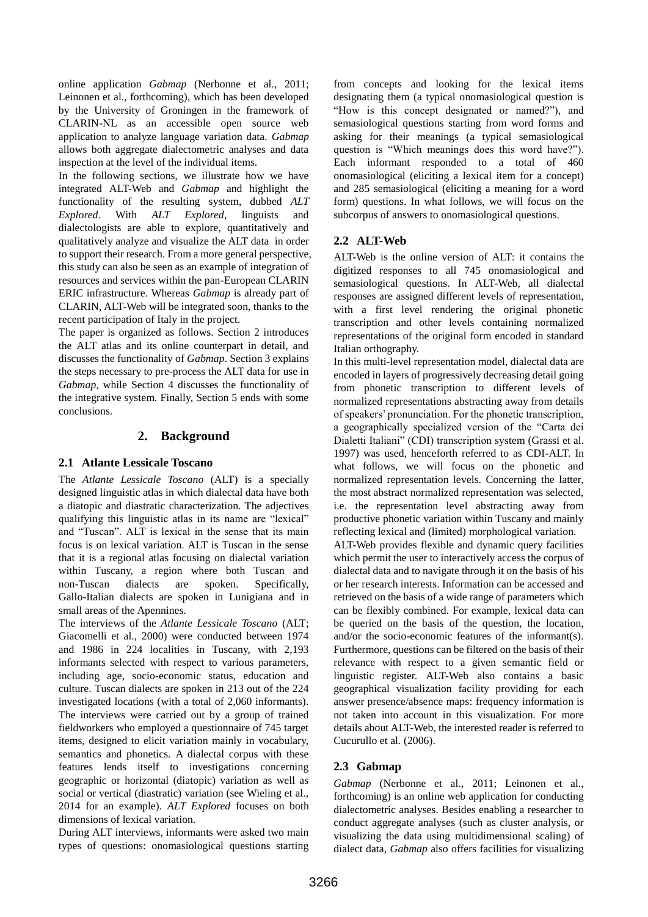online application *Gabmap* (Nerbonne et al., 2011; Leinonen et al., forthcoming), which has been developed by the University of Groningen in the framework of CLARIN-NL as an accessible open source web application to analyze language variation data. *Gabmap* allows both aggregate dialectometric analyses and data inspection at the level of the individual items.

In the following sections, we illustrate how we have integrated ALT-Web and *Gabmap* and highlight the functionality of the resulting system, dubbed *ALT Explored*. With *ALT Explored*, linguists and dialectologists are able to explore, quantitatively and qualitatively analyze and visualize the ALT data in order to support their research. From a more general perspective, this study can also be seen as an example of integration of resources and services within the pan-European CLARIN ERIC infrastructure. Whereas *Gabmap* is already part of CLARIN, ALT-Web will be integrated soon, thanks to the recent participation of Italy in the project.

The paper is organized as follows. Section 2 introduces the ALT atlas and its online counterpart in detail, and discusses the functionality of *Gabmap*. Section 3 explains the steps necessary to pre-process the ALT data for use in *Gabmap*, while Section 4 discusses the functionality of the integrative system. Finally, Section 5 ends with some conclusions.

### **2. Background**

### **2.1 Atlante Lessicale Toscano**

The *Atlante Lessicale Toscano* (ALT) is a specially designed linguistic atlas in which dialectal data have both a diatopic and diastratic characterization. The adjectives qualifying this linguistic atlas in its name are "lexical" and "Tuscan". ALT is lexical in the sense that its main focus is on lexical variation. ALT is Tuscan in the sense that it is a regional atlas focusing on dialectal variation within Tuscany, a region where both Tuscan and non-Tuscan dialects are spoken. Specifically, Gallo-Italian dialects are spoken in Lunigiana and in small areas of the Apennines.

The interviews of the *Atlante Lessicale Toscano* (ALT; Giacomelli et al., 2000) were conducted between 1974 and 1986 in 224 localities in Tuscany, with 2,193 informants selected with respect to various parameters, including age, socio-economic status, education and culture. Tuscan dialects are spoken in 213 out of the 224 investigated locations (with a total of 2,060 informants). The interviews were carried out by a group of trained fieldworkers who employed a questionnaire of 745 target items, designed to elicit variation mainly in vocabulary, semantics and phonetics. A dialectal corpus with these features lends itself to investigations concerning geographic or horizontal (diatopic) variation as well as social or vertical (diastratic) variation (see Wieling et al., 2014 for an example). *ALT Explored* focuses on both dimensions of lexical variation.

During ALT interviews, informants were asked two main types of questions: onomasiological questions starting

from concepts and looking for the lexical items designating them (a typical onomasiological question is "How is this concept designated or named?"), and semasiological questions starting from word forms and asking for their meanings (a typical semasiological question is "Which meanings does this word have?"). Each informant responded to a total of 460 onomasiological (eliciting a lexical item for a concept) and 285 semasiological (eliciting a meaning for a word form) questions. In what follows, we will focus on the subcorpus of answers to onomasiological questions.

### **2.2 ALT-Web**

ALT-Web is the online version of ALT: it contains the digitized responses to all 745 onomasiological and semasiological questions. In ALT-Web, all dialectal responses are assigned different levels of representation, with a first level rendering the original phonetic transcription and other levels containing normalized representations of the original form encoded in standard Italian orthography.

In this multi-level representation model, dialectal data are encoded in layers of progressively decreasing detail going from phonetic transcription to different levels of normalized representations abstracting away from details of speakers' pronunciation. For the phonetic transcription, a geographically specialized version of the "Carta dei Dialetti Italiani" (CDI) transcription system (Grassi et al. 1997) was used, henceforth referred to as CDI-ALT. In what follows, we will focus on the phonetic and normalized representation levels. Concerning the latter, the most abstract normalized representation was selected, i.e. the representation level abstracting away from productive phonetic variation within Tuscany and mainly reflecting lexical and (limited) morphological variation. ALT-Web provides flexible and dynamic query facilities which permit the user to interactively access the corpus of dialectal data and to navigate through it on the basis of his or her research interests. Information can be accessed and

retrieved on the basis of a wide range of parameters which can be flexibly combined. For example, lexical data can be queried on the basis of the question, the location, and/or the socio-economic features of the informant(s). Furthermore, questions can be filtered on the basis of their relevance with respect to a given semantic field or linguistic register. ALT-Web also contains a basic geographical visualization facility providing for each answer presence/absence maps: frequency information is not taken into account in this visualization. For more details about ALT-Web, the interested reader is referred to Cucurullo et al. (2006).

### **2.3 Gabmap**

*Gabmap* (Nerbonne et al., 2011; Leinonen et al., forthcoming) is an online web application for conducting dialectometric analyses. Besides enabling a researcher to conduct aggregate analyses (such as cluster analysis, or visualizing the data using multidimensional scaling) of dialect data, *Gabmap* also offers facilities for visualizing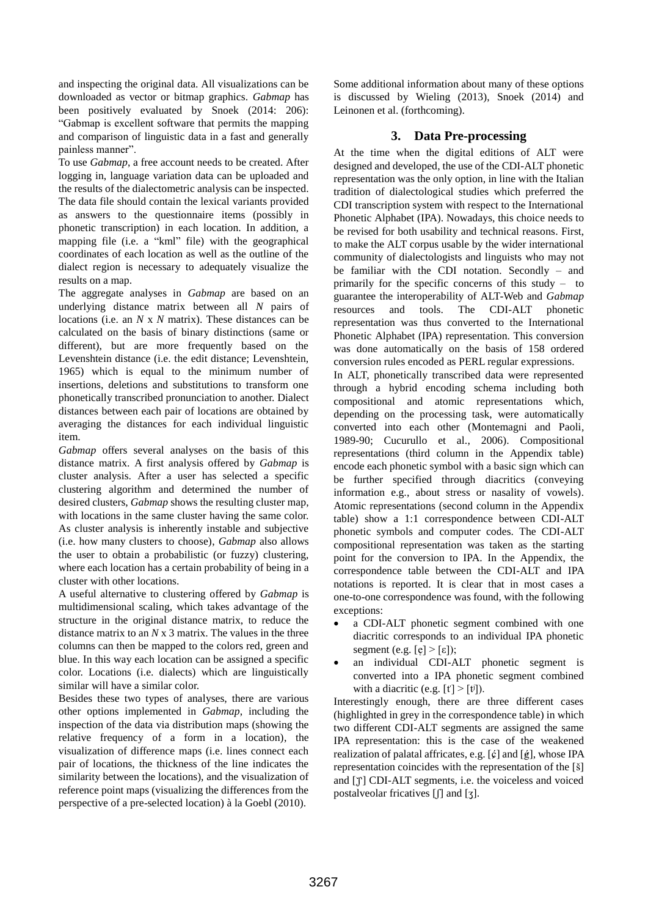and inspecting the original data. All visualizations can be downloaded as vector or bitmap graphics. *Gabmap* has been positively evaluated by Snoek (2014: 206): "Gabmap is excellent software that permits the mapping and comparison of linguistic data in a fast and generally painless manner".

To use *Gabmap*, a free account needs to be created. After logging in, language variation data can be uploaded and the results of the dialectometric analysis can be inspected. The data file should contain the lexical variants provided as answers to the questionnaire items (possibly in phonetic transcription) in each location. In addition, a mapping file (i.e. a "kml" file) with the geographical coordinates of each location as well as the outline of the dialect region is necessary to adequately visualize the results on a map.

The aggregate analyses in *Gabmap* are based on an underlying distance matrix between all *N* pairs of locations (i.e. an *N* x *N* matrix). These distances can be calculated on the basis of binary distinctions (same or different), but are more frequently based on the Levenshtein distance (i.e. the edit distance; Levenshtein, 1965) which is equal to the minimum number of insertions, deletions and substitutions to transform one phonetically transcribed pronunciation to another. Dialect distances between each pair of locations are obtained by averaging the distances for each individual linguistic item.

*Gabmap* offers several analyses on the basis of this distance matrix. A first analysis offered by *Gabmap* is cluster analysis. After a user has selected a specific clustering algorithm and determined the number of desired clusters, *Gabmap* shows the resulting cluster map, with locations in the same cluster having the same color. As cluster analysis is inherently instable and subjective (i.e. how many clusters to choose), *Gabmap* also allows the user to obtain a probabilistic (or fuzzy) clustering, where each location has a certain probability of being in a cluster with other locations.

A useful alternative to clustering offered by *Gabmap* is multidimensional scaling, which takes advantage of the structure in the original distance matrix, to reduce the distance matrix to an *N* x 3 matrix. The values in the three columns can then be mapped to the colors red, green and blue. In this way each location can be assigned a specific color. Locations (i.e. dialects) which are linguistically similar will have a similar color.

Besides these two types of analyses, there are various other options implemented in *Gabmap*, including the inspection of the data via distribution maps (showing the relative frequency of a form in a location), the visualization of difference maps (i.e. lines connect each pair of locations, the thickness of the line indicates the similarity between the locations), and the visualization of reference point maps (visualizing the differences from the perspective of a pre-selected location) à la Goebl (2010).

Some additional information about many of these options is discussed by Wieling (2013), Snoek (2014) and Leinonen et al. (forthcoming).

### **3. Data Pre-processing**

At the time when the digital editions of ALT were designed and developed, the use of the CDI-ALT phonetic representation was the only option, in line with the Italian tradition of dialectological studies which preferred the CDI transcription system with respect to the International Phonetic Alphabet (IPA). Nowadays, this choice needs to be revised for both usability and technical reasons. First, to make the ALT corpus usable by the wider international community of dialectologists and linguists who may not be familiar with the CDI notation. Secondly – and primarily for the specific concerns of this study – to guarantee the interoperability of ALT-Web and *Gabmap* resources and tools. The CDI-ALT phonetic representation was thus converted to the International Phonetic Alphabet (IPA) representation. This conversion was done automatically on the basis of 158 ordered conversion rules encoded as PERL regular expressions.

In ALT, phonetically transcribed data were represented through a hybrid encoding schema including both compositional and atomic representations which, depending on the processing task, were automatically converted into each other (Montemagni and Paoli, 1989-90; Cucurullo et al., 2006). Compositional representations (third column in the Appendix table) encode each phonetic symbol with a basic sign which can be further specified through diacritics (conveying information e.g., about stress or nasality of vowels). Atomic representations (second column in the Appendix table) show a 1:1 correspondence between CDI-ALT phonetic symbols and computer codes. The CDI-ALT compositional representation was taken as the starting point for the conversion to IPA. In the Appendix, the correspondence table between the CDI-ALT and IPA notations is reported. It is clear that in most cases a one-to-one correspondence was found, with the following exceptions:

- a CDI-ALT phonetic segment combined with one diacritic corresponds to an individual IPA phonetic segment (e.g.  $[\rho] > [\varepsilon]$ );
- an individual CDI-ALT phonetic segment is converted into a IPA phonetic segment combined with a diacritic (e.g.  $[t] > [t]$ ).

Interestingly enough, there are three different cases (highlighted in grey in the correspondence table) in which two different CDI-ALT segments are assigned the same IPA representation: this is the case of the weakened realization of palatal affricates, e.g.  $[\circ]$  and  $[\circ]$ , whose IPA representation coincides with the representation of the  $\lceil \xi \rceil$ and [ $\Upsilon$ ] CDI-ALT segments, i.e. the voiceless and voiced postalveolar fricatives [ʃ] and [ʒ].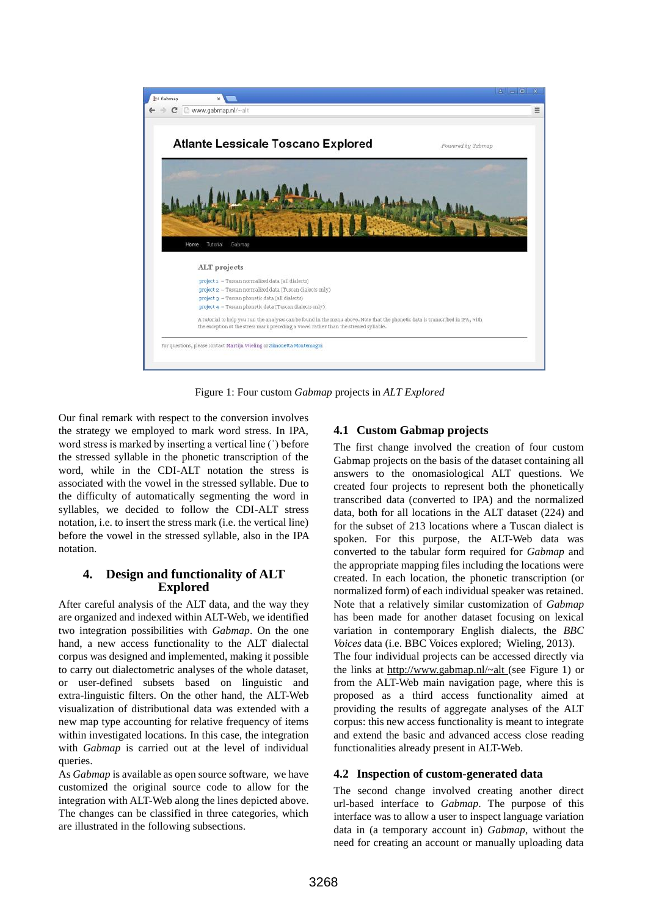

Figure 1: Four custom *Gabmap* projects in *ALT Explored*

Our final remark with respect to the conversion involves the strategy we employed to mark word stress. In IPA, word stress is marked by inserting a vertical line (ˈ) before the stressed syllable in the phonetic transcription of the word, while in the CDI-ALT notation the stress is associated with the vowel in the stressed syllable. Due to the difficulty of automatically segmenting the word in syllables, we decided to follow the CDI-ALT stress notation, i.e. to insert the stress mark (i.e. the vertical line) before the vowel in the stressed syllable, also in the IPA notation.

### **4. Design and functionality of ALT Explored**

After careful analysis of the ALT data, and the way they are organized and indexed within ALT-Web, we identified two integration possibilities with *Gabmap*. On the one hand, a new access functionality to the ALT dialectal corpus was designed and implemented, making it possible to carry out dialectometric analyses of the whole dataset, or user-defined subsets based on linguistic and extra-linguistic filters. On the other hand, the ALT-Web visualization of distributional data was extended with a new map type accounting for relative frequency of items within investigated locations. In this case, the integration with *Gabmap* is carried out at the level of individual queries.

As *Gabmap* is available as open source software, we have customized the original source code to allow for the integration with ALT-Web along the lines depicted above. The changes can be classified in three categories, which are illustrated in the following subsections.

### **4.1 Custom Gabmap projects**

The first change involved the creation of four custom Gabmap projects on the basis of the dataset containing all answers to the onomasiological ALT questions. We created four projects to represent both the phonetically transcribed data (converted to IPA) and the normalized data, both for all locations in the ALT dataset (224) and for the subset of 213 locations where a Tuscan dialect is spoken. For this purpose, the ALT-Web data was converted to the tabular form required for *Gabmap* and the appropriate mapping files including the locations were created. In each location, the phonetic transcription (or normalized form) of each individual speaker was retained. Note that a relatively similar customization of *Gabmap* has been made for another dataset focusing on lexical variation in contemporary English dialects, the *BBC Voices* data (i.e. BBC Voices explored; Wieling, 2013). The four individual projects can be accessed directly via the links at<http://www.gabmap.nl/~alt> (see Figure 1) or from the ALT-Web main navigation page, where this is proposed as a third access functionality aimed at providing the results of aggregate analyses of the ALT corpus: this new access functionality is meant to integrate and extend the basic and advanced access close reading functionalities already present in ALT-Web.

### **4.2 Inspection of custom-generated data**

The second change involved creating another direct url-based interface to *Gabmap*. The purpose of this interface was to allow a user to inspect language variation data in (a temporary account in) *Gabmap*, without the need for creating an account or manually uploading data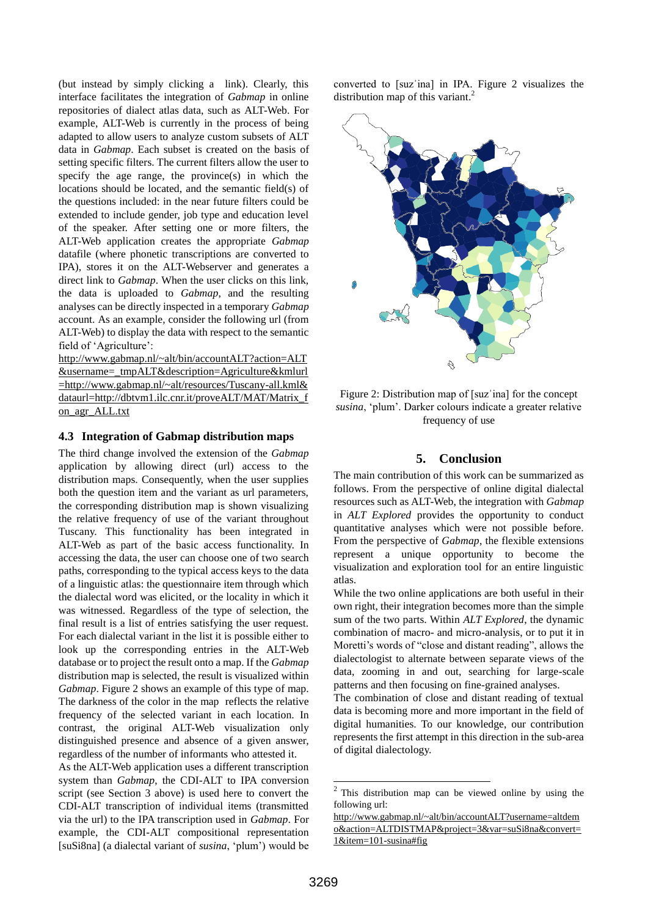(but instead by simply clicking a link). Clearly, this interface facilitates the integration of *Gabmap* in online repositories of dialect atlas data, such as ALT-Web. For example, ALT-Web is currently in the process of being adapted to allow users to analyze custom subsets of ALT data in *Gabmap*. Each subset is created on the basis of setting specific filters. The current filters allow the user to specify the age range, the province(s) in which the locations should be located, and the semantic field(s) of the questions included: in the near future filters could be extended to include gender, job type and education level of the speaker. After setting one or more filters, the ALT-Web application creates the appropriate *Gabmap* datafile (where phonetic transcriptions are converted to IPA), stores it on the ALT-Webserver and generates a direct link to *Gabmap*. When the user clicks on this link, the data is uploaded to *Gabmap*, and the resulting analyses can be directly inspected in a temporary *Gabmap* account. As an example, consider the following url (from ALT-Web) to display the data with respect to the semantic field of 'Agriculture':

[http://www.gabmap.nl/~alt/bin/accountALT?action=ALT](http://www.gabmap.nl/~alt/bin/accountALT?action=ALT&username=_tmpALT&description=Agriculture&kmlurl=http://www.gabmap.nl/~alt/resources/Tuscany-all.kml&dataurl=http://dbtvm1.ilc.cnr.it/proveALT/MAT/Matrix_fon_agr_ALL.txt) [&username=\\_tmpALT&description=Agriculture&kmlurl](http://www.gabmap.nl/~alt/bin/accountALT?action=ALT&username=_tmpALT&description=Agriculture&kmlurl=http://www.gabmap.nl/~alt/resources/Tuscany-all.kml&dataurl=http://dbtvm1.ilc.cnr.it/proveALT/MAT/Matrix_fon_agr_ALL.txt) [=http://www.gabmap.nl/~alt/resources/Tuscany-all.kml&](http://www.gabmap.nl/~alt/bin/accountALT?action=ALT&username=_tmpALT&description=Agriculture&kmlurl=http://www.gabmap.nl/~alt/resources/Tuscany-all.kml&dataurl=http://dbtvm1.ilc.cnr.it/proveALT/MAT/Matrix_fon_agr_ALL.txt) [dataurl=http://dbtvm1.ilc.cnr.it/proveALT/MAT/Matrix\\_f](http://www.gabmap.nl/~alt/bin/accountALT?action=ALT&username=_tmpALT&description=Agriculture&kmlurl=http://www.gabmap.nl/~alt/resources/Tuscany-all.kml&dataurl=http://dbtvm1.ilc.cnr.it/proveALT/MAT/Matrix_fon_agr_ALL.txt) [on\\_agr\\_ALL.txt](http://www.gabmap.nl/~alt/bin/accountALT?action=ALT&username=_tmpALT&description=Agriculture&kmlurl=http://www.gabmap.nl/~alt/resources/Tuscany-all.kml&dataurl=http://dbtvm1.ilc.cnr.it/proveALT/MAT/Matrix_fon_agr_ALL.txt)

#### **4.3 Integration of Gabmap distribution maps**

The third change involved the extension of the *Gabmap* application by allowing direct (url) access to the distribution maps. Consequently, when the user supplies both the question item and the variant as url parameters, the corresponding distribution map is shown visualizing the relative frequency of use of the variant throughout Tuscany. This functionality has been integrated in ALT-Web as part of the basic access functionality. In accessing the data, the user can choose one of two search paths, corresponding to the typical access keys to the data of a linguistic atlas: the questionnaire item through which the dialectal word was elicited, or the locality in which it was witnessed. Regardless of the type of selection, the final result is a list of entries satisfying the user request. For each dialectal variant in the list it is possible either to look up the corresponding entries in the ALT-Web database or to project the result onto a map. If the *Gabmap* distribution map is selected, the result is visualized within *Gabmap*. Figure 2 shows an example of this type of map. The darkness of the color in the map reflects the relative frequency of the selected variant in each location. In contrast, the original ALT-Web visualization only distinguished presence and absence of a given answer, regardless of the number of informants who attested it.

As the ALT-Web application uses a different transcription system than *Gabmap*, the CDI-ALT to IPA conversion script (see Section 3 above) is used here to convert the CDI-ALT transcription of individual items (transmitted via the url) to the IPA transcription used in *Gabmap*. For example, the CDI-ALT compositional representation [suSi8na] (a dialectal variant of *susina*, 'plum') would be converted to [suzˈina] in IPA. Figure 2 visualizes the distribution map of this variant.<sup>2</sup>



Figure 2: Distribution map of [suzˈina] for the concept *susina*, 'plum'. Darker colours indicate a greater relative frequency of use

#### **5. Conclusion**

The main contribution of this work can be summarized as follows. From the perspective of online digital dialectal resources such as ALT-Web, the integration with *Gabmap* in *ALT Explored* provides the opportunity to conduct quantitative analyses which were not possible before. From the perspective of *Gabmap*, the flexible extensions represent a unique opportunity to become the visualization and exploration tool for an entire linguistic atlas.

While the two online applications are both useful in their own right, their integration becomes more than the simple sum of the two parts. Within *ALT Explored*, the dynamic combination of macro- and micro-analysis, or to put it in Moretti's words of "close and distant reading", allows the dialectologist to alternate between separate views of the data, zooming in and out, searching for large-scale patterns and then focusing on fine-grained analyses.

The combination of close and distant reading of textual data is becoming more and more important in the field of digital humanities. To our knowledge, our contribution represents the first attempt in this direction in the sub-area of digital dialectology.

This distribution map can be viewed online by using the following url:

[http://www.gabmap.nl/~alt/bin/accountALT?username=altdem](http://www.gabmap.nl/~alt/bin/accountALT?username=altdemo&action=ALTDISTMAP&project=3&var=suSi8na&convert=1&item=101-susina#fig) [o&action=ALTDISTMAP&project=3&var=suSi8na&convert=](http://www.gabmap.nl/~alt/bin/accountALT?username=altdemo&action=ALTDISTMAP&project=3&var=suSi8na&convert=1&item=101-susina#fig) [1&item=101-susina#fig](http://www.gabmap.nl/~alt/bin/accountALT?username=altdemo&action=ALTDISTMAP&project=3&var=suSi8na&convert=1&item=101-susina#fig)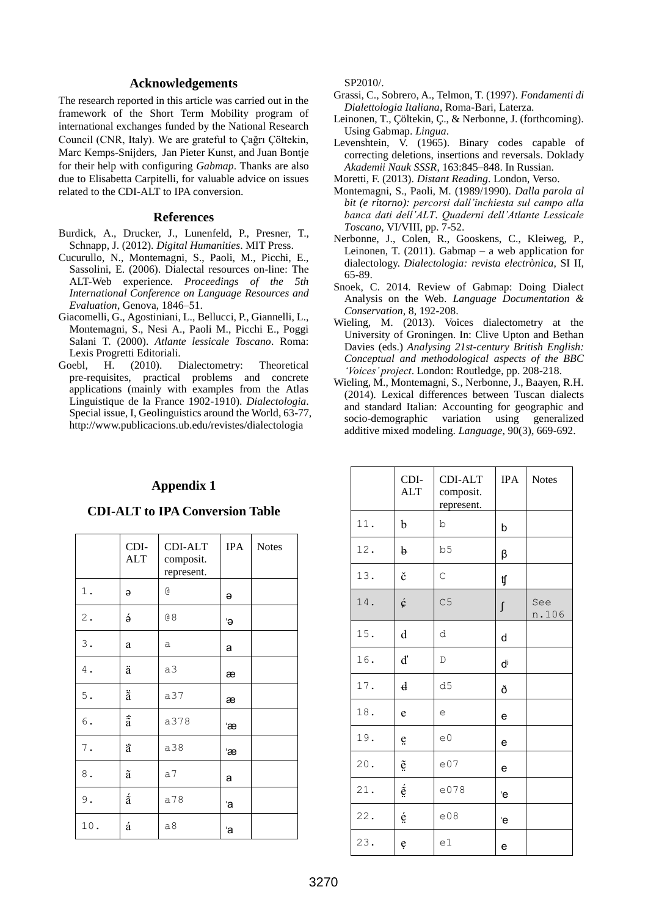#### **Acknowledgements**

The research reported in this article was carried out in the framework of the Short Term Mobility program of international exchanges funded by the National Research Council (CNR, Italy). We are grateful to Çağrı Çöltekin, Marc Kemps-Snijders, Jan Pieter Kunst, and Juan Bontje for their help with configuring *Gabmap*. Thanks are also due to Elisabetta Carpitelli, for valuable advice on issues related to the CDI-ALT to IPA conversion.

#### **References**

- Burdick, A., Drucker, J., Lunenfeld, P., Presner, T., Schnapp, J. (2012). *Digital Humanities*. MIT Press.
- Cucurullo, N., Montemagni, S., Paoli, M., Picchi, E., Sassolini, E. (2006). Dialectal resources on-line: The ALT-Web experience. *Proceedings of the 5th International Conference on Language Resources and Evaluation*, Genova, 1846–51.
- Giacomelli, G., Agostiniani, L., Bellucci, P., Giannelli, L., Montemagni, S., Nesi A., Paoli M., Picchi E., Poggi Salani T. (2000). *Atlante lessicale Toscano*. Roma: Lexis Progretti Editoriali.
- Goebl, H. (2010). Dialectometry: Theoretical pre-requisites, practical problems and concrete applications (mainly with examples from the Atlas Linguistique de la France 1902-1910). *Dialectologia*. Special issue, I, Geolinguistics around the World, 63-77, http://www.publicacions.ub.edu/revistes/dialectologia

#### **Appendix 1**

#### **CDI-ALT to IPA Conversion Table**

|                 | CDI-<br><b>ALT</b>          | CDI-ALT<br>composit.<br>represent. | <b>IPA</b> | <b>Notes</b> |
|-----------------|-----------------------------|------------------------------------|------------|--------------|
| $1$ .           | $\Theta$                    | G                                  | Э          |              |
| $\mathfrak 2$ . | $\acute{\mathrm{\theta}}$   | 68                                 | 'ə         |              |
| $\mathsf 3$ .   | a                           | a                                  | a          |              |
| 4.              | ä                           | a3                                 | æ          |              |
| $5$ .           | $\ddot{\tilde{\mathrm{a}}}$ | a37                                | æ          |              |
| $\,$ 6 $\,$ .   | $\ddot{\tilde{\rm a}}$      | a378                               | Έæ         |              |
| $\mathbf 7$ .   | ä                           | a38                                | Έæ         |              |
| $\bf 8$ .       | ã                           | a <sub>7</sub>                     | a          |              |
| $9$ .           | $\acute{\tilde{\rm a}}$     | a78                                | 'a         |              |
| 10.             | á                           | a8                                 | 'a         |              |

SP2010/.

- Grassi, C., Sobrero, A., Telmon, T. (1997). *Fondamenti di Dialettologia Italiana*, Roma-Bari, Laterza.
- Leinonen, T., Çöltekin, Ç., & Nerbonne, J. (forthcoming). Using Gabmap. *Lingua*.
- Levenshtein, V. (1965). Binary codes capable of correcting deletions, insertions and reversals. Doklady *Akademii Nauk SSSR*, 163:845–848. In Russian.
- Moretti, F. (2013). *Distant Reading*. London, Verso.
- Montemagni, S., Paoli, M. (1989/1990). *Dalla parola al bit (e ritorno): percorsi dall'inchiesta sul campo alla banca dati dell'ALT*. *Quaderni dell'Atlante Lessicale Toscano*, VI/VIII, pp. 7-52.
- Nerbonne, J., Colen, R., Gooskens, C., Kleiweg, P., Leinonen, T.  $(2011)$ . Gabmap – a web application for dialectology. *Dialectologia: revista electrònica*, SI II, 65-89.
- Snoek, C. 2014. Review of Gabmap: Doing Dialect Analysis on the Web. *Language Documentation & Conservation*, 8, 192-208.
- Wieling, M. (2013). Voices dialectometry at the University of Groningen. In: Clive Upton and Bethan Davies (eds.) *Analysing 21st-century British English: Conceptual and methodological aspects of the BBC 'Voices' project*. London: Routledge, pp. 208-218.
- Wieling, M., Montemagni, S., Nerbonne, J., Baayen, R.H. (2014). Lexical differences between Tuscan dialects and standard Italian: Accounting for geographic and socio-demographic variation using generalized additive mixed modeling. *Language*, 90(3), 669-692.

|     | CDI-<br><b>ALT</b>        | <b>CDI-ALT</b><br>composit.<br>represent. | <b>IPA</b> | <b>Notes</b> |
|-----|---------------------------|-------------------------------------------|------------|--------------|
| 11. | b                         | b                                         | b          |              |
| 12. | þ                         | b <sub>5</sub>                            | β          |              |
| 13. | č                         | $\mathsf{C}$                              | ţſ         |              |
| 14. | ć                         | C <sub>5</sub>                            | ſ          | See<br>n.106 |
| 15. | d                         | d                                         | d          |              |
| 16. | ď                         | D                                         | ď          |              |
| 17. | $\boldsymbol{\mathsf{d}}$ | d5                                        | ð          |              |
| 18. | e                         | е                                         | e          |              |
| 19. | ë                         | e <sub>0</sub>                            | e          |              |
| 20. | $\tilde{\mathrm{e}}$      | e07                                       | e          |              |
| 21. | $\acute{\mathrm{e}}$      | e078                                      | 'e         |              |
| 22. | é                         | e08                                       | 'e         |              |
| 23. | ę                         | e1                                        | е          |              |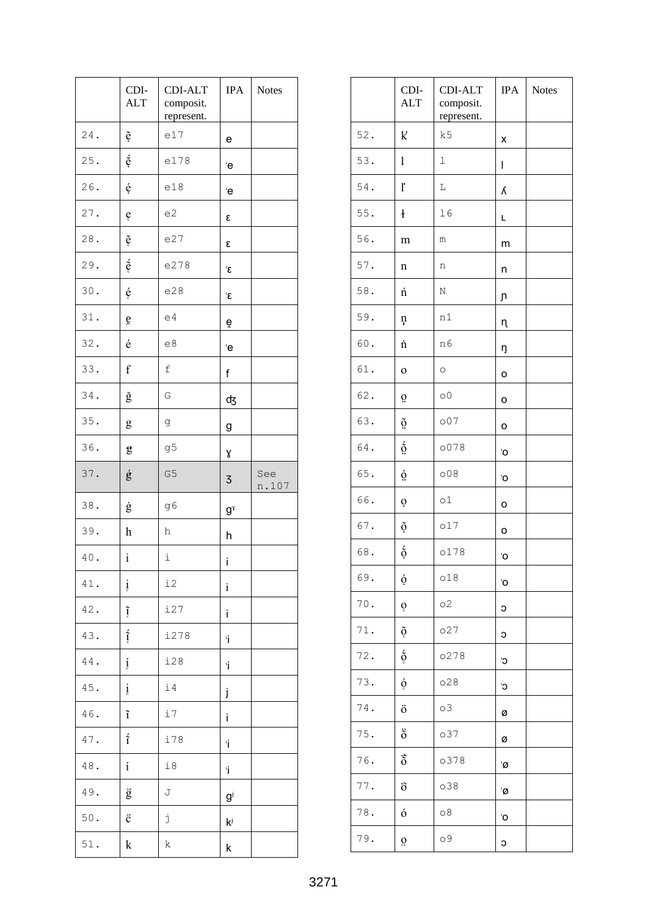|        | CDI-<br><b>ALT</b>    | CDI-ALT<br>composit.<br>represent. | <b>IPA</b>                  | <b>Notes</b> |
|--------|-----------------------|------------------------------------|-----------------------------|--------------|
| 24.    | ệ                     | e17                                | е                           |              |
| 25.    | $\acute{\mathrm{e}}$  | e178                               | Έ                           |              |
| 26.    | é                     | e18                                | 'e                          |              |
| 27.    | ę                     | e2                                 | ε                           |              |
| 28.    | $\tilde{\mathbf{e}}$  | e27                                | ε                           |              |
| 29.    | $\acute{\text e}$     | e278                               | ξ                           |              |
| 30.    | é                     | e28                                | ٤                           |              |
| 31.    | ě                     | e4                                 | ĕ                           |              |
| 32.    | é                     | e8                                 | 'e                          |              |
| 33.    | $\rm f$               | f                                  | f                           |              |
| 34.    | ğ                     | G                                  | ф3                          |              |
| 35.    | g                     | g                                  | g                           |              |
| 36.    | ĝ                     | g5                                 | γ                           |              |
| 37.    | ģ                     | G <sub>5</sub>                     | 3                           | See<br>n.107 |
| 38.    | ġ                     | g6                                 | $g^{\gamma}$                |              |
| 39.    | h                     | h                                  | h                           |              |
| $40$ . | $\mathbf{i}$          | i                                  | i                           |              |
| 41.    | į                     | i2                                 | İ                           |              |
| 42.    | $\tilde{\mathbf{l}}$  | i27                                | i                           |              |
| 43.    | $\frac{7}{1}$         | i278                               | Ť                           |              |
| 44.    | $\mathbf{i}$          | i28                                | Ť                           |              |
| 45.    | $\frac{1}{6}$         | i4                                 | j                           |              |
| 46.    | $\tilde{\textbf{\i}}$ | i7                                 | i                           |              |
| $47$ . | $\acute{\tilde{1}}$   | i78                                | Ť                           |              |
| 48.    | $\acute{\text{1}}$    | i8                                 | Ť                           |              |
| 49.    | $\check{g}$           | J                                  | $\mathsf{g}^\text{\tiny j}$ |              |
| 50.    | $\rm \tilde{C}$       | j                                  | ki                          |              |
| 51.    | k                     | k                                  | k                           |              |

|        | CDI-<br><b>ALT</b>          | CDI-ALT<br>composit.<br>represent. | <b>IPA</b> | <b>Notes</b> |
|--------|-----------------------------|------------------------------------|------------|--------------|
| 52.    | $\bf k$                     | k5                                 | x          |              |
| 53.    | $\mathbf{1}$                | 1                                  | L          |              |
| 54.    | ľ                           | L                                  | λ          |              |
| 55.    | ł                           | 16                                 | Г          |              |
| 56.    | m                           | m                                  | m          |              |
| 57.    | n                           | n                                  | n          |              |
| 58.    | ń                           | Ν                                  | ŋ          |              |
| 59.    | ņ                           | n1                                 | η          |              |
| 60.    | 'n                          | n6                                 | ŋ          |              |
| 61.    | $\mathbf 0$                 | $\circ$                            | O          |              |
| 62.    | $\ddot{\mathrm{o}}$         | $\circ$ <sup>0</sup>               | O          |              |
| 63.    | $\tilde{\Omega}$            | 007                                | o          |              |
| 64.    | $\acute{\text{o}}$          | o078                               | 'O         |              |
| 65.    | $\dot{\Omega}$              | 008                                | 'O         |              |
| 66.    | Ò                           | $\circ 1$                          | o          |              |
| 67.    | $\tilde{\mathrm{o}}$        | 017                                | o          |              |
| 68.    | $\acute{\mathrm{o}}$        | o178                               | 'O         |              |
| 69.    | ó                           | 018                                | 'O         |              |
| $70$ . | ð                           | $\circ$ 2                          | С          |              |
| 71.    | õ                           | 027                                | С          |              |
| 72.    | $\acute{\text{o}}$          | 0278                               | C,         |              |
| 73.    | ó                           | 028                                | C,         |              |
| 74.    | ö                           | $\circ$ 3                          | ø          |              |
| 75.    | $\ddot{\tilde{\mathrm{o}}}$ | 037                                | ø          |              |
| 76.    | $\ddot{\tilde{\mathrm{o}}}$ | 0378                               | 'Ø         |              |
| 77.    | ö                           | 038                                | 'Ø         |              |
| 78.    | ó                           | $\circ$ 8                          | 'O         |              |
| 79.    | Q                           | 09                                 | c          |              |